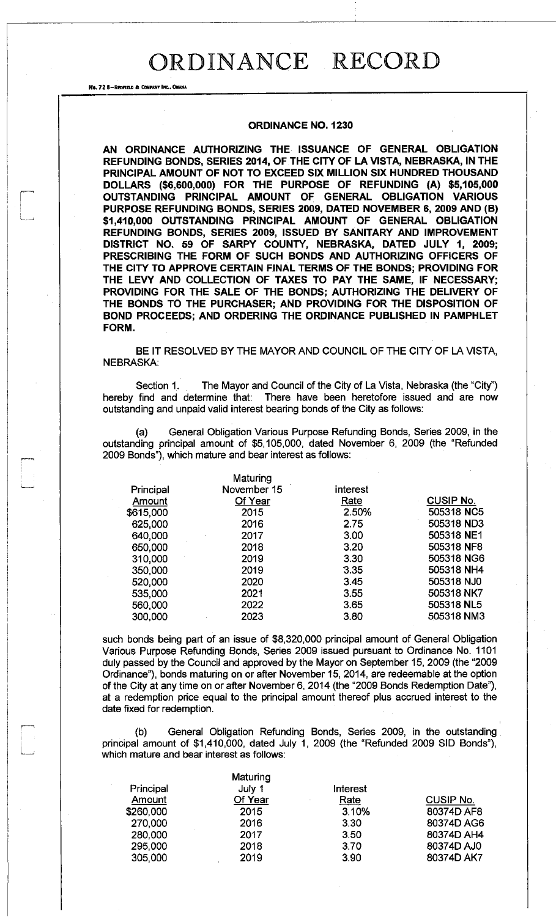No. 72 8-REDFIELD & COMPANY INC., OMAHA

#### **ORDINANCE NO. 1230**

**AN ORDINANCE AUTHORIZING THE ISSUANCE OF GENERAL OBLIGATION REFUNDING BONDS, SERIES 2014, OF THE CITY OF LA VISTA, NEBRASKA, IN THE PRINCIPAL AMOUNT OF NOT TO EXCEED SIX MILLION SIX HUNDRED THOUSAND DOLLARS (\$6,600,000) FOR THE PURPOSE OF REFUNDING (A) \$5,105,000 OUTSTANDING PRINCIPAL AMOUNT OF GENERAL OBLIGATION VARIOUS PURPOSE REFUNDING BONDS, SERIES 2009, DATED NOVEMBER 6, 2009 AND (B) \$1,410,000 OUTSTANDING PRINCIPAL AMOUNT OF GENERAL OBLIGATION REFUNDING BONDS, SERIES 2009, ISSUED BY SANITARY AND IMPROVEMENT DISTRICT NO. 59 OF SARPY COUNTY, NEBRASKA, DATED JULY 1, 2009; PRESCRIBING THE FORM OF SUCH BONDS AND AUTHORIZING OFFICERS OF THE CITY TO APPROVE CERTAIN FjNAL TERMS OF THE BONDS; PROVIDING FOR THE LEVY AND COLLECTION OF TAXES TO PAY THE SAME, IF NECESSARY; PROVIDING FOR THE SALE OF THE BONDS; AUTHORIZING THE DELIVERY OF THE BONDS TO THE PURCHASER; AND PROVIDING FOR THE DISPOSITION OF BOND PROCEEDS; AND ORDERING THE ORDINANCE PUBLISHED IN PAMPHLET FORM.** 

BE IT RESOLVED BY THE MAYOR AND COUNCIL OF THE CITY OF LA VISTA, NEBRASKA:

Section 1. The Mayor and Council of the City of La Vista, Nebraska (the "City") hereby find and determine that: There have been heretofore issued and are now outstanding and unpaid valid interest bearing bonds of the City as follows:

(a) General Obligation Various Purpose Refunding Bonds, Series 2009, in the outstanding principal amount of \$5,105,000, dated November 6, 2009 (the "Refunded 2009 Bonds"), which mature and bear interest as follows:

|           | Maturing    |          |                  |
|-----------|-------------|----------|------------------|
| Principal | November 15 | interest |                  |
| Amount    | Of Year     | Rate     | <b>CUSIP No.</b> |
| \$615,000 | 2015        | 2.50%    | 505318 NC5       |
| 625,000   | 2016        | 2.75     | 505318 ND3       |
| 640,000   | 2017        | 3.00     | 505318 NE1       |
| 650,000   | 2018        | 3.20     | 505318 NF8       |
| 310,000   | 2019        | 3.30     | 505318 NG6       |
| 350,000   | 2019        | 3.35     | 505318 NH4       |
| 520,000   | 2020        | 3.45     | 505318 NJ0       |
| 535,000   | 2021        | 3.55     | 505318 NK7       |
| 560,000   | 2022        | 3.65     | 505318 NL5       |
| 300,000   | 2023        | 3.80     | 505318 NM3       |
|           |             |          |                  |

such bonds being part of an issue of \$8,320,000 principal amount of General Obligation Various Purpose Refunding Bonds, Series 2009 issued pursuant to Ordinance No. 1101 duly passed by the Council and approved by the Mayor on September 15, 2009 (the "2009 Ordinance"), bonds maturing on or after November 15, 2014, are redeemable at the option of the City at any time on or after November 6, 2014 (the "2009 Bonds Redemption Date"), at a redemption price equal to the principal amount thereof plus accrued interest to the date fixed for redemption.

(b) General Obligation Refunding Bonds, Series 2009, in the outstanding principal amount of \$1,410,000, dated July 1, 2009 (the "Refunded 2009 SID Bonds"), which mature and bear interest as follows:

| July 1  | Interest    |                  |
|---------|-------------|------------------|
| Of Year | <u>Rate</u> | <b>CUSIP No.</b> |
| 2015    | 3.10%       | 80374D AF8       |
| 2016    | 3.30        | 80374D AG6       |
| 2017    | 3.50        | 80374D AH4       |
| 2018    | 3.70        | 80374D AJ0       |
| 2019    | 3.90        | 80374D AK7       |
|         | Maturing    |                  |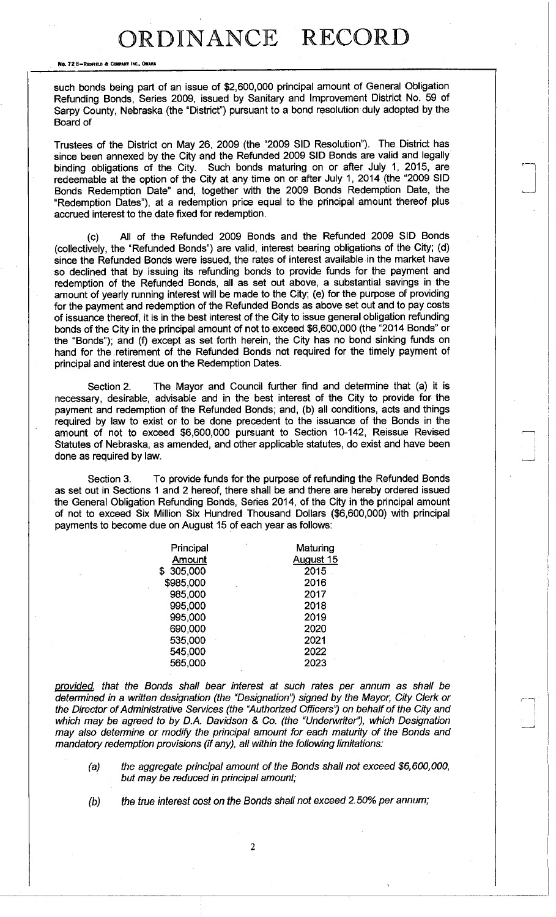No. 72 8-REDFIELD & COMPANY INC., OMAHA

such bonds being part of an issue of \$2,600,000 principal amount of General Obligation Refunding Bonds, Series 2009, issued by Sanitary and Improvement District No. 59 of Sarpy County, Nebraska (the "District") pursuant to a bond resolution duly adopted by the Board of

Trustees of the District on May 26, 2009 (the "2009 SID Resolution"). The District has since been annexed by the City and the Refunded 2009 SID Bonds are valid and legally binding obligations of the City. Such bonds maturing on or after July 1, 2015, are redeemable at the option of the City at any time on or after July 1, 2014 (the "2009 SID Bonds Redemption Date" and, together with the 2009 Bonds Redemption Date, the "Redemption Dates"), at a redemption price equal to the principal amount thereof plus accrued interest to the date fixed for redemption.

(c) All of the Refunded 2009 Bonds and the Refunded 2009 SID Bonds (collectively, the "Refunded Bonds") are valid, interest bearing obligations of the City; (d) since the Refunded Bonds were issued, the rates of interest available in the market have so declined that by issuing its refunding bonds to provide funds for the payment and redemption of the Refunded Bonds, all as set out above, a substantial savings in the amount of yearly running interest will be made to the City; (e) for the purpose of providing for the payment and redemption of the Refunded Bonds as above set out and to pay costs of issuance thereof, it is in the best interest of the City to issue general obligation refunding bonds of the City in the principal amount of not to exceed \$6,600,000 (the "2014 Bonds" or the "Bonds"); and (f) except as set forth herein, the City has no bond sinking funds on hand for the retirement of the Refunded Bonds not required for the timely payment of principal and interest due on the Redemption Dates.

Section 2. The Mayor and Council further find and determine that (a) it is necessary, desirable, advisable and in the best interest of the City to provide for the payment and redemption of the Refunded Bonds; and, (b) all conditions, acts and things required by law to exist or to be done precedent to the issuance of the Bonds in the amount of not to exceed \$6,600,000 pursuant to Section 10-142, Reissue Revised Statutes of Nebraska, as amended, and other applicable statutes, do exist and have been done as required by law.

Section 3. To provide funds for the purpose of refunding the Refunded Bonds as set out in Sections 1 and 2 hereof, there shall be and there are hereby ordered issued the General Obligation Refunding Bonds, Series 2014, of the City in the principal amount of not to exceed Six Million Six Hundred Thousand Dollars (\$6,600,000) with principal payments to become due on August 15 of each year as follows:

| Maturing  |
|-----------|
| August 15 |
| 2015      |
| 2016      |
| 2017      |
| 2018      |
| 2019      |
| 2020      |
| 2021      |
| 2022      |
| 2023      |
|           |

*provided , that the Bonds shall bear Interest at such rates per annum as shall be determined in a written designation (the "Designation") signed by the Mayor, City Clerk or*  the Director of Administrative Services (the "Authorized Officers") on behalf of the City and *which may be agreed to by D.A. Davidson & Co. (the "Underwriter"), which Designation may also determine or modify the principal amount for each maturity of the Bonds and mandatory redemption provisions (if any), all within the following limitations:* 

- *(a) the aggregate principal amount of the Bonds shall not exceed \$6,600,000, but may be reduced in principal amount;*
- 

*(b) the true interest cost on the Bonds shall not exceed 2.50% per annum;*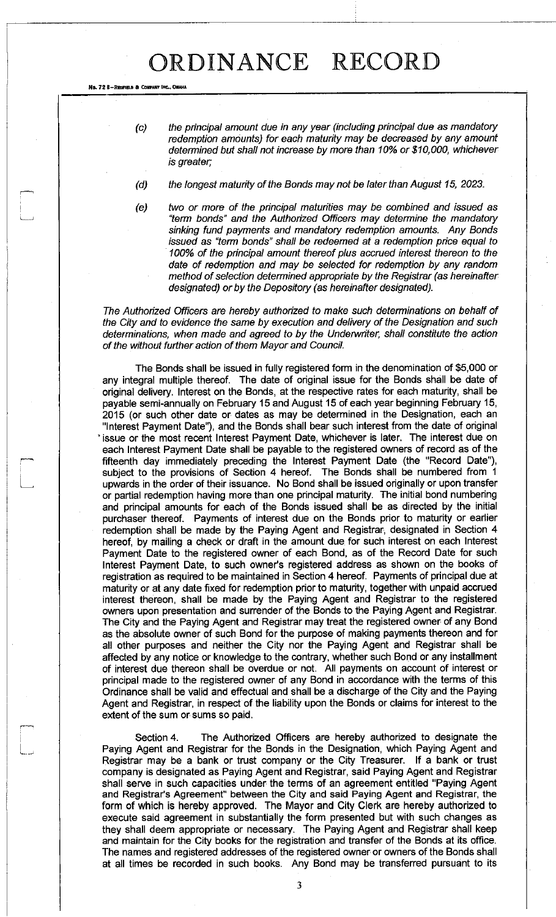No. 72 8-REDFIELD & COMPANY INC., OMAN/

*(c) the principal amount due in any year (including principal due as mandatory redemption amounts) for each maturity may be decreased by any amount determined but shall not increase by more than 10% or \$10,000, whichever is greater,* 

- *(d) the longest maturity of the Bonds may not be later than August 15, 2023.*
- *(e) two or more of the principal maturities may be combined and issued as "term bonds" and the Authorized Officers may determine the mandatory sinking fund payments and mandatory redemption amounts. Any Bonds issued as "term bonds" shall be redeemed at a redemption price equal to 100% of the principal amount thereof plus accrued interest thereon to the date of redemption and may be selected for redemption by any random method of selection determined appropriate by the Registrar (as hereinafter designated) or by the Depository (as hereinafter designated).*

*The Authorized Officers are hereby authorized to make such determinations on behalf of the City and to evidence the same by execution and delivery of the Designation and such determinations, when made and agreed to by the Underwriter, shall constitute the action of the without further action of them Mayor and Council.* 

The Bonds shall be issued in fully registered form in the denomination of \$5,000 or any integral multiple thereof. The date of original issue for the Bonds shall be date of original delivery. Interest on the Bonds, at the respective rates for each maturity, shall be payable semi-annually on February 15 and August 15 of each year beginning February 15, 2015 (or such other date or dates as may be determined in the Designation, each an "Interest Payment Date"), and the Bonds shall bear such interest from the date of original ' issue or the most recent Interest Payment Date, whichever is later. The interest due on each Interest Payment Date shall be payable to the registered owners of record as of the fifteenth day immediately preceding the Interest Payment Date (the "Record Date"), subject to the provisions of Section 4 hereof. The Bonds shall be numbered from 1 upwards in the order of their issuance. No Bond shall be issued originally or upon transfer or partial redemption having more than one principal maturity. The initial bond numbering and principal amounts for each of the Bonds issued shall be as directed by the initial purchaser thereof. Payments of interest due on the Bonds prior to maturity or earlier redemption shall be made by the Paying Agent and Registrar, designated in Section 4 hereof, by mailing a check or draft in the amount due for such interest on each Interest Payment Date to the registered owner of each Bond, as of the Record Date for such Interest Payment Date, to such owner's registered address as shown on the books of registration as required to be maintained in Section 4 hereof. Payments of principal due at maturity or at any date fixed for redemption prior to maturity, together with unpaid accrued interest thereon, shall be made by the Paying Agent and Registrar to the registered owners upon presentation and surrender of the Bonds to the Paying Agent and Registrar. The City and the Paying Agent and Registrar may treat the registered owner of any Bond as the absolute owner of such Bond for the purpose of making payments thereon and for all other purposes and neither the City nor the Paying Agent and Registrar shall be affected by any notice or knowledge to the contrary, whether such Bond or any installment of interest due thereon shall be overdue or not. All payments on account of interest or principal made to the registered owner of any Bond in accordance with the terms of this Ordinance shall be valid and effectual and shall be a discharge of the City and the Paying Agent and Registrar, in respect of the liability upon the Bonds or claims for interest to the extent of the sum or sums so paid.

Section 4. The Authorized Officers are hereby authorized to designate the Paying Agent and Registrar for the Bonds in the Designation, which Paying Agent and Registrar may be a bank or trust company or the City Treasurer. If a bank or trust company is designated as Paying Agent and Registrar, said Paying Agent and Registrar shall serve in such capacities under the terms of an agreement entitled "Paying Agent and Registrar's Agreement" between the City and said Paying Agent and Registrar, the form of which is hereby approved. The Mayor and City Clerk are hereby authorized to execute said agreement in substantially the form presented but with such changes as they shall deem appropriate or necessary. The Paying Agent and Registrar shall keep and maintain for the City books for the registration and transfer of the Bonds at its office. The names and registered addresses of the registered owner or owners of the Bonds shall at all times be recorded in such books. Any Bond may be transferred pursuant to its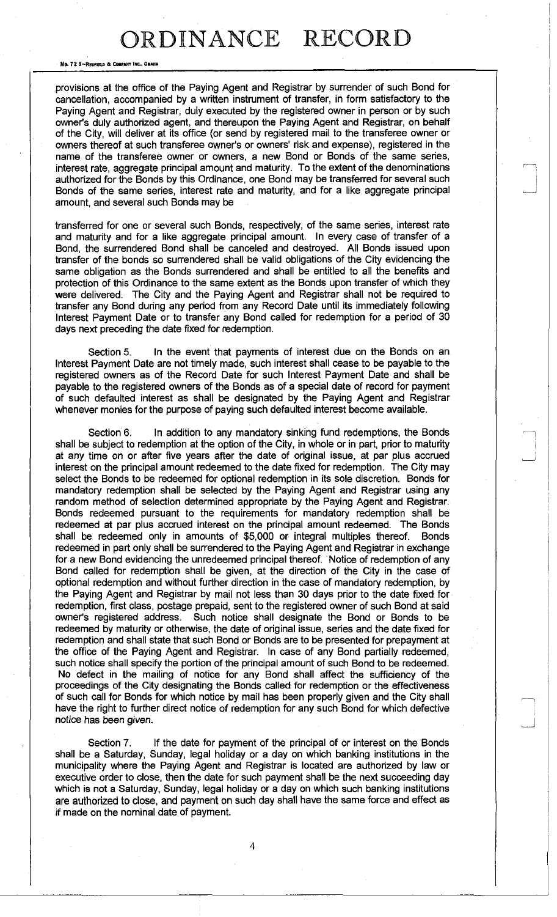No. 72 B-REDFIELD & COMPANY INC., OMAHA

provisions at the office of the Paying Agent and Registrar by surrender of such Bond for cancellation, accompanied by a written instrument of transfer, in form satisfactory to the Paying Agent and Registrar, duly executed by the registered owner in person or by such owner's duly authorized agent, and thereupon the Paying Agent and Registrar, on behalf of the City, will deliver at its office (or send by registered mail to the transferee owner or owners thereof at such transferee owner's or owners' risk and expense), registered in the name of the transferee owner or owners, a new Bond or Bonds of the same series, interest rate, aggregate principal amount and maturity. To the extent of the denominations authorized for the Bonds by this Ordinance, one Bond may be transferred for several such Bonds of the same series, interest rate and maturity, and for a like aggregate principal amount, and several such Bonds may be

transferred for one or several such Bonds, respectively, of the same series, interest rate and maturity and for a like aggregate principal amount. In every case of transfer of a Bond, the surrendered Bond shall be canceled and destroyed. All Bonds issued upon transfer of the bonds so surrendered shall be valid obligations of the City evidencing the same obligation as the Bonds surrendered and shall be entitled to all the benefits and protection of this Ordinance to the same extent as the Bonds upon transfer of which they were delivered. The City and the Paying Agent and Registrar shall not be required to transfer any Bond during any period from any Record Date until its immediately following Interest Payment Date or to transfer any Bond called for redemption for a period of 30 days next preceding the date fixed for redemption.

Section 5. In the event that payments of interest due on the Bonds on an Interest Payment Date are not timely made, such interest shall cease to be payable to the registered owners as of the Record Date for such Interest Payment Date and shall be payable to the registered owners of the Bonds as of a special date of record for payment of such defaulted interest as shall be designated by the Paying Agent and Registrar whenever monies for the purpose of paying such defaulted interest become available.

Section 6. In addition to any mandatory sinking fund redemptions, the Bonds shall be subject to redemption at the option of the City, in whole or in part, prior to maturity at any time on or after five years after the date of original issue, at par plus accrued interest on the principal amount redeemed to the date fixed for redemption. The City may select the Bonds to be redeemed for optional redemption in its sole discretion. Bonds for mandatory redemption shall be selected by the Paying Agent and Registrar using any random method of selection determined appropriate by the Paying Agent and Registrar. Bonds redeemed pursuant to the requirements for mandatory redemption shall be redeemed at par plus accrued interest on the principal amount redeemed. The Bonds shall be redeemed only in amounts of \$5,000 or integral multiples thereof. Bonds redeemed in part only shall be surrendered to the Paying Agent and Registrar in exchange for a new Bond evidencing the unredeemed principal thereof. Notice of redemption of any Bond called for redemption shall be given, at the direction of the City in the case of optional redemption and without further direction in the case of mandatory redemption, by the Paying Agent and Registrar by mail not less than 30 days prior to the date fixed for redemption, first class, postage prepaid, sent to the registered owner of such Bond at said owner's registered address. Such notice shall designate the Bond or Bonds to be redeemed by maturity or otherwise, the date of original issue, series and the date fixed for redemption and shall state that such Bond or Bonds are to be presented for prepayment at the office of the Paying Agent and Registrar. In case of any Bond partially redeemed, such notice shall specify the portion of the principal amount of such Bond to be redeemed. No defect in the mailing of notice for any Bond shall affect the sufficiency of the proceedings of the City designating the Bonds called for redemption or the effectiveness of such call for Bonds for which notice by mail has been properly given and the City shall have the right to further direct notice of redemption for any such Bond for which defective notice has been given.

Section 7. If the date for payment of the principal of or interest on the Bonds shall be a Saturday, Sunday, legal holiday or a day on which banking institutions in the municipality where the Paying Agent and Registrar is located are authorized by law or executive order to close, then the date for such payment shall be the next succeeding day which is not a Saturday, Sunday, legal holiday or a day on which such banking institutions are authorized to close, and payment on such day shall have the same force and effect as if made on the nominal date of payment.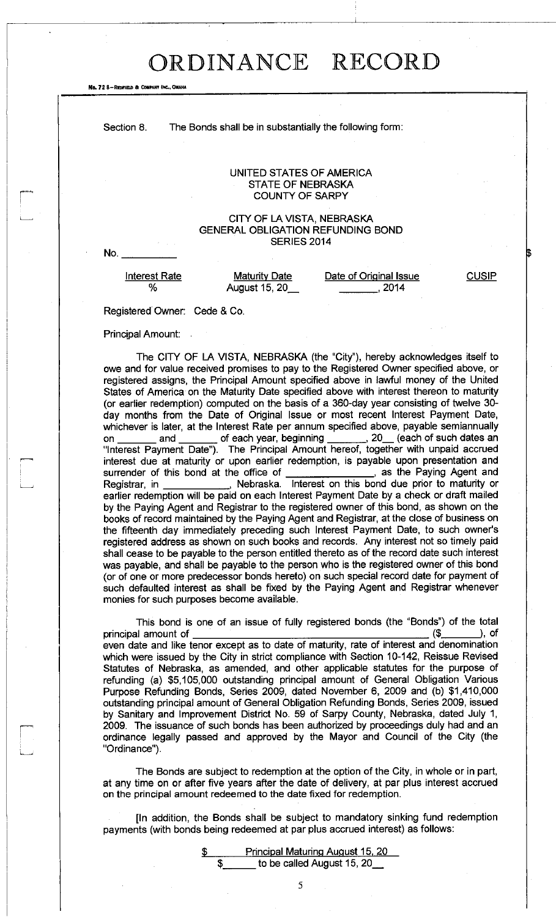No. 72 8-REDFIELD & COMPANY INC., OMANA

Section 8. The Bonds shall be in substantially the following form:

#### UNITED STATES OF AMERICA STATE OF NEBRASKA COUNTY OF SARPY

### CITY OF LA VISTA, NEBRASKA GENERAL OBLIGATION REFUNDING BOND SERIES 2014

No.

est Rate *Maturity Date* Date of Original Iss<br>% August 15, 20\_\_\_\_\_\_\_\_\_\_\_\_\_\_\_\_\_\_\_\_, 2014

Interest Rate **Maturity Date Date of Original Issue** CUSIP

Registered Owner: Cede & Co.

Principal Amount:

The CITY OF LA VISTA, NEBRASKA (the "City"), hereby acknowledges itself to owe and for value received promises to pay to the Registered Owner specified above, or registered assigns, the Principal Amount specified above in lawful money of the United States of America on the Maturity Date specified above with interest thereon to maturity (or earlier redemption) computed on the basis of a 360-day year consisting of twelve 30 day months from the Date of Original Issue or most recent Interest Payment Date, whichever is later, at the Interest Rate per annum specified above, payable semiannually on \_\_\_\_\_\_\_ and \_\_\_\_\_\_\_ of each year, beginning \_\_\_\_\_\_, 20\_\_ (each of such dates an "Interest Payment Date"). The Principal Amount hereof, together with unpaid accrued interest due at maturity or upon earlier redemption, is payable upon presentation and surrender of this bond at the office of \_\_\_\_\_\_\_\_\_\_\_\_\_\_\_\_\_, as the Paying Agent and surrender of this bond at the office of \_\_\_\_\_\_\_\_\_\_\_\_\_\_\_\_\_, as the Paying Agent and Registrar, in **the contract on the state of the contract on** this bond due prior to maturity or earlier redemption will be paid on each Interest Payment Date by a check or draft mailed by the Paying Agent and Registrar to the registered owner of this bond, as shown on the books of record maintained by the Paying Agent and Registrar, at the close of business on the fifteenth day immediately preceding such Interest Payment Date, to such owner's registered address as shown on such books and records. Any interest not so timely paid shall cease to be payable to the person entitled thereto as of the record date such interest was payable, and shall be payable to the person who is the registered owner of this bond (or of one or more predecessor bonds hereto) on such special record date for payment of such defaulted interest as shall be fixed by the Paying Agent and Registrar whenever monies for such purposes become available.

This bond is one of an issue of fully registered bonds (the "Bonds") of the total principal amount of  $($ even date and like tenor except as to date of maturity, rate of interest and denomination which were issued by the City in strict compliance with Section 10-142, Reissue Revised Statutes of Nebraska, as amended, and other applicable statutes for the purpose of refunding (a) \$5,105,000 outstanding principal amount of General Obligation Various Purpose Refunding Bonds, Series 2009, dated November 6, 2009 and (b) \$1,410,000 outstanding principal amount of General Obligation Refunding Bonds, Series 2009, issued by Sanitary and Improvement District No. 59 of Sarpy County, Nebraska, dated July 1, 2009. The issuance of such bonds has been authorized by proceedings duly had and an ordinance legally passed and approved by the Mayor and Council of the City (the "Ordinance").

The Bonds are subject to redemption at the option of the City, in whole or in part, at any time on or after five years after the date of delivery, at par plus interest accrued on the principal amount redeemed to the date fixed for redemption.

[In addition, the Bonds shall be subject to mandatory sinking fund redemption payments (with bonds being redeemed at par plus accrued interest) as follows:

> \$ Principal Maturing August 15. 20  $\$\quad$  to be called August 15, 20\_

> > 5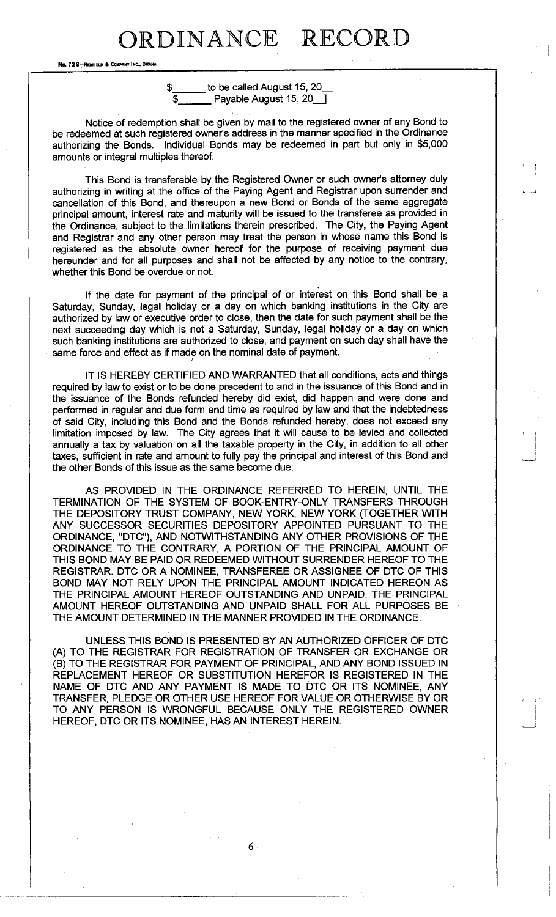No. 72 8-REDFIELD & CO

**\$**  to be called August 15, 20 Payable August 15, 20 |

Notice of redemption shall be given by mail to the registered owner of any Bond to be redeemed at such registered owner's address in the manner specified in the Ordinance authorizing the Bonds. Individual Bonds may be redeemed in part but only in \$5,000 amounts or integral multiples thereof.

This Bond is transferable by the Registered Owner or such owner's attorney duly authorizing in writing at the office of the Paying Agent and Registrar upon surrender and cancellation of this Bond, and thereupon a new Bond or Bonds of the same aggregate principal amount, interest rate and maturity will be issued to the transferee as provided in the Ordinance, subject to the limitations therein prescribed. The City, the Paying Agent and Registrar and any other person may treat the person in whose name this Bond is registered as the absolute owner hereof for the purpose of receiving payment due hereunder and for all purposes and shall not be affected by any notice to the contrary, whether this Bond be overdue or not.

If the date for payment of the principal of or interest on this Bond shall be a Saturday, Sunday, legal holiday or a day on which banking institutions in the City are authorized by law or executive order to close, then the date for such payment shall be the next succeeding day which is not a Saturday, Sunday, legal holiday or a day on which such banking institutions are authorized to close, and payment on such day shall have the same force and effect as if made on the nominal date of payment.

IT IS HEREBY CERTIFIED AND WARRANTED that all conditions, acts and things required by law to exist or to be done precedent to and in the issuance of this Bond and in the issuance of the Bonds refunded hereby did exist, did happen and were done and performed in regular and due form and time as required by law and that the indebtedness of said City, including this Bond and the Bonds refunded hereby, does not exceed any limitation imposed by law. The City agrees that it will cause to be levied and collected annually a tax by valuation on all the taxable property in the City, in addition to all other taxes, sufficient in rate and amount to fully pay the principal and interest of this Bond and the other Bonds of this issue as the same become due.

AS PROVIDED IN THE ORDINANCE REFERRED TO HEREIN, UNTIL THE TERMINATION OF THE SYSTEM OF BOOK-ENTRY-ONLY TRANSFERS THROUGH THE DEPOSITORY TRUST COMPANY, NEW YORK, NEW YORK (TOGETHER WITH ANY SUCCESSOR SECURITIES DEPOSITORY APPOINTED PURSUANT TO THE ORDINANCE, "DTC"), AND NOTWITHSTANDING ANY OTHER PROVISIONS OF THE ORDINANCE TO THE CONTRARY, A PORTION OF THE PRINCIPAL AMOUNT OF THIS BOND MAY BE PAID OR REDEEMED WITHOUT SURRENDER HEREOF TO THE REGISTRAR. DTC OR A NOMINEE, TRANSFEREE OR ASSIGNEE OF DTC OF THIS BOND MAY NOT RELY UPON THE PRINCIPAL AMOUNT INDICATED HEREON AS THE PRINCIPAL AMOUNT HEREOF OUTSTANDING AND UNPAID. THE PRINCIPAL AMOUNT HEREOF OUTSTANDING AND UNPAID SHALL FOR ALL PURPOSES BE THE AMOUNT DETERMINED IN THE MANNER PROVIDED IN THE ORDINANCE.

UNLESS THIS BOND IS PRESENTED BY AN AUTHORIZED OFFICER OF DTC (A) TO THE REGISTRAR FOR REGISTRATION OF TRANSFER OR EXCHANGE OR (B) TO THE REGISTRAR FOR PAYMENT OF PRINCIPAL, AND ANY BOND ISSUED IN REPLACEMENT HEREOF OR SUBSTITUTION HEREFOR IS REGISTERED IN THE NAME OF DTC AND ANY PAYMENT IS MADE TO DTC OR ITS NOMINEE, ANY TRANSFER, PLEDGE OR OTHER USE HEREOF FOR VALUE OR OTHERWISE BY OR TO ANY PERSON IS WRONGFUL BECAUSE ONLY THE REGISTERED OWNER HEREOF, DTC OR ITS NOMINEE, HAS AN INTEREST HEREIN.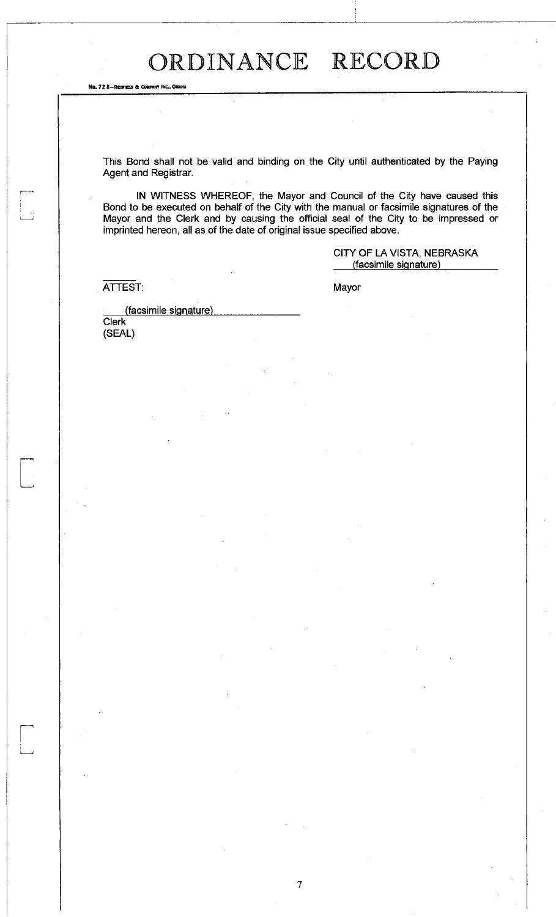This Bond shall not be valid and binding on the City until authenticated by the Paying Agent and Registrar.

IN WITNESS WHEREOF, the Mayor and Council of the City have caused this Bond to be executed on behalf of the City with the manual or facsimile signatures of the Mayor and the Clerk and by causing the official seal of the City to be impressed or imprinted hereon, all as of the date of original issue specified above.

> CITY OF LA VISTA, NEBRASKA (facsimile signature)

ATTEST:

No. 72 8-REDFIELD & COMPANY INC., OMAHA

Mayor

(facsimile signature) Clerk (SEAL)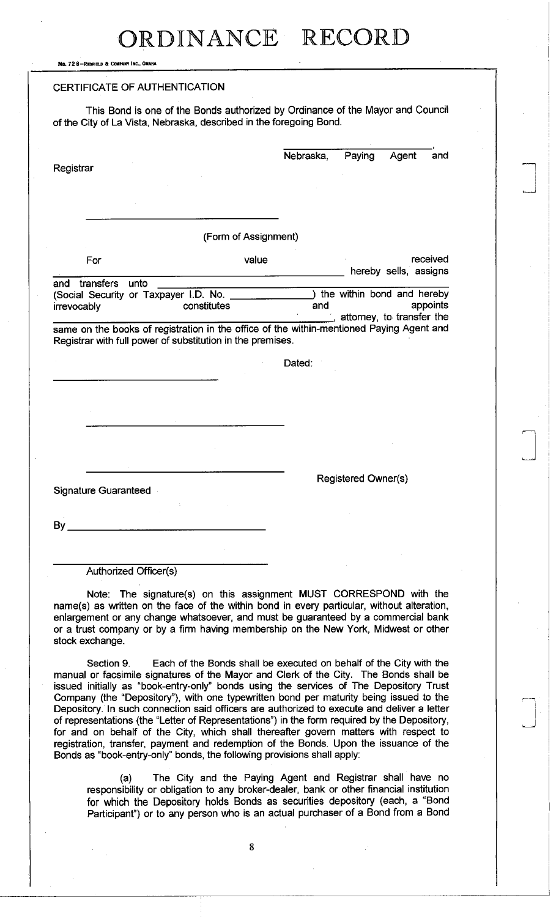No. 72 8-REDFIELD & COMPANY INC., OMAHA

### CERTIFICATE OF AUTHENTICATION

This Bond is one of the Bonds authorized by Ordinance of the Mayor and Council of the City of La Vista, Nebraska, described in the foregoing Bond.

| Registrar                                                                                                                                                                                                                                  |                      | Nebraska, | Paying                                                  | Agent                 | and      |
|--------------------------------------------------------------------------------------------------------------------------------------------------------------------------------------------------------------------------------------------|----------------------|-----------|---------------------------------------------------------|-----------------------|----------|
|                                                                                                                                                                                                                                            | (Form of Assignment) |           |                                                         |                       |          |
| For                                                                                                                                                                                                                                        | value                |           |                                                         | hereby sells, assigns | received |
| transfers<br>unto<br>and<br>(Social Security or Taxpayer I.D. No.<br>irrevocably<br>same on the books of registration in the office of the within-mentioned Paying Agent and<br>Registrar with full power of substitution in the premises. | constitutes          | and       | the within bond and hereby<br>attorney, to transfer the |                       | appoints |
|                                                                                                                                                                                                                                            |                      | Dated:    |                                                         |                       |          |
|                                                                                                                                                                                                                                            |                      |           |                                                         |                       |          |
| <b>Signature Guaranteed</b>                                                                                                                                                                                                                |                      |           | Registered Owner(s)                                     |                       |          |

By

Authorized Officer(s)

Note: The signature(s) on this assignment MUST CORRESPOND with the name(s) as written on the face of the within bond in every particular, without alteration, enlargement or any change whatsoever, and must be guaranteed by a commercial bank or a trust company or by a firm having membership on the New York, Midwest or other stock exchange.

Section 9. Each of the Bonds shall be executed on behalf of the City with the manual or facsimile signatures of the Mayor and Clerk of the City. The Bonds shall be issued initially as "book-entry-only" bonds using the sen/ices of The Depository Trust Company (the "Depository"), with one typewritten bond per maturity being issued to the Depository. In such connection said officers are authorized to execute and deliver a letter of representations (the "Letter of Representations") in the form required by the Depository, for and on behalf of the City, which shall thereafter govern matters with respect to registration, transfer, payment and redemption of the Bonds. Upon the issuance of the Bonds as "book-entry-only" bonds, the following provisions shall apply:

(a) The City and the Paying Agent and Registrar shall have no responsibility or obligation to any broker-dealer, bank or other financial institution for which the Depository holds Bonds as securities depository (each, a "Bond Participant") or to any person who is an actual purchaser of a Bond from a Bond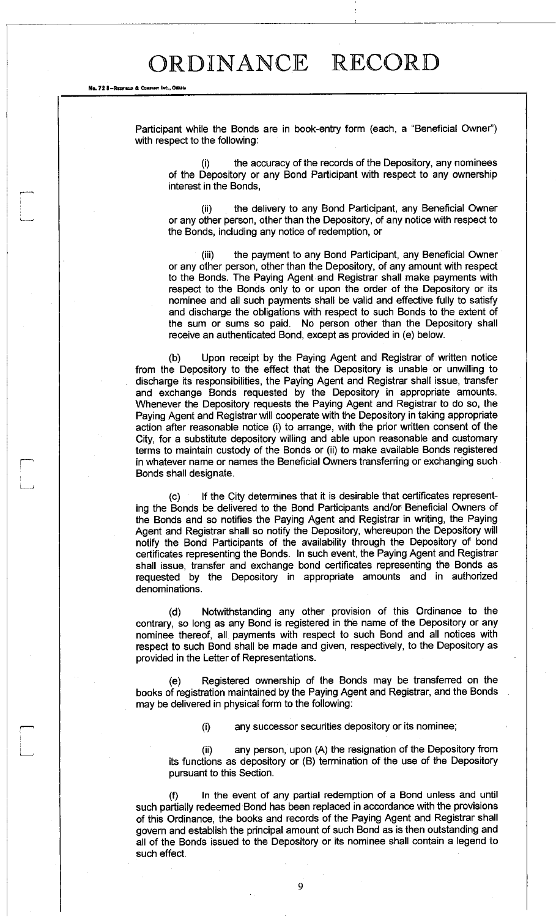No. 72 8-REOFIELD & COMPANY INC., OMAHA

<sup>I</sup>*i* 

Participant while the Bonds are in book-entry form (each, a "Beneficial Owner") with respect to the following:

the accuracy of the records of the Depository, any nominees of the Depository or any Bond Participant with respect to any ownership interest in the Bonds,

(ii) the delivery to any Bond Participant, any Beneficial Owner or any other person, other than the Depository, of any notice with respect to the Bonds, including any notice of redemption, or

(iii) the payment to any Bond Participant, any Beneficial Owner or any other person, other than the Depository, of any amount with respect to the Bonds. The Paying Agent and Registrar shall make payments with respect to the Bonds only to or upon the order of the Depository or its nominee and all such payments shall be valid and effective fully to satisfy and discharge the obligations with respect to such Bonds to the extent of the sum or sums so paid. No person other than the Depository shall receive an authenticated Bond, except as provided in (e) below.

(b) Upon receipt by the Paying Agent and Registrar of written notice from the Depository to the effect that the Depository is unable or unwilling to discharge its responsibilities, the Paying Agent and Registrar shall issue, transfer and exchange Bonds requested by the Depository in appropriate amounts. Whenever the Depository requests the Paying Agent and Registrar to do so, the Paying Agent and Registrar will cooperate with the Depository in taking appropriate action after reasonable notice (i) to arrange, with the prior written consent of the City, for a substitute depository willing and able upon reasonable and customary terms to maintain custody of the Bonds or (ii) to make available Bonds registered in whatever name or names the Beneficial Owners transferring or exchanging such Bonds shall designate.

(c) If the City determines that it is desirable that certificates representing the Bonds be delivered to the Bond Participants and/or Beneficial Owners of the Bonds and so notifies the Paying Agent and Registrar in writing, the Paying Agent and Registrar shall so notify the Depository, whereupon the Depository will notify the Bond Participants of the availability through the Depository of bond certificates representing the Bonds. In such event, the Paying Agent and Registrar shall issue, transfer and exchange bond certificates representing the Bonds as requested by the Depository in appropriate amounts and in authorized denominations.

(d) Notwithstanding any other provision of this Ordinance to the contrary, so long as any Bond is registered in the name of the Depository or any nominee thereof, all payments with respect to such Bond and all notices with respect to such Bond shall be made and given, respectively, to the Depository as provided in the Letter of Representations.

(e) Registered ownership of the Bonds may be transferred on the books of registration maintained by the Paying Agent and Registrar, and the Bonds may be delivered in physical form to the following:

(i) any successor securities depository or its nominee;

(ii) any person, upon (A) the resignation of the Depository from its functions as depository or (B) termination of the use of the Depository pursuant to this Section.

(f) In the event of any partial redemption of a Bond unless and until such partially redeemed Bond has been replaced in accordance with the provisions of this Ordinance, the books and records of the Paying Agent and Registrar shall govern and establish the principal amount of such Bond as is then outstanding and all of the Bonds issued to the Depository or its nominee shall contain a legend to such effect.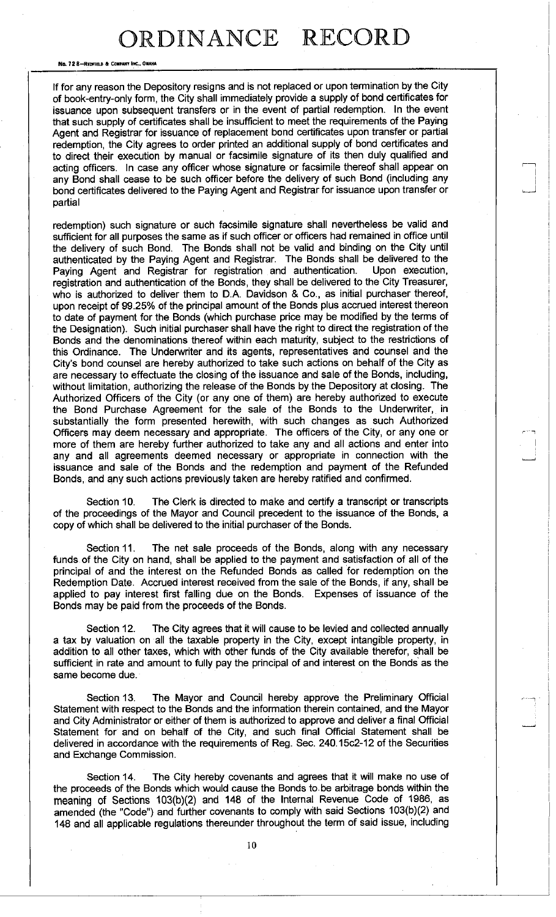No. 7 2 8—REDFIELD 6 COMPANY INC. OMAHA

If for any reason the Depository resigns and is not replaced or upon termination by the City of book-entry-only form, the City shall immediately provide a supply of bond certificates for issuance upon subsequent transfers or in the event of partial redemption. In the event that such supply of certificates shall be insufficient to meet the requirements of the Paying Agent and Registrar for issuance of replacement bond certificates upon transfer or partial redemption, the City agrees to order printed an additional supply of bond certificates and to direct their execution by manual or facsimile signature of its then duly qualified and acting officers. In case any officer whose signature or facsimile thereof shall appear on any Bond shall cease to be such officer before the delivery of such Bond (including any bond certificates delivered to the Paying Agent and Registrar for issuance upon transfer or partial

redemption) such signature or such facsimile signature shall nevertheless be valid and sufficient for all purposes the same as if such officer or officers had remained in office until the delivery of such Bond. The Bonds shall not be valid and binding on the City until authenticated by the Paying Agent and Registrar. The Bonds shall be delivered to the Paying Agent and Registrar for registration and authentication. Upon execution, registration and authentication of the Bonds, they shall be delivered to the City Treasurer, who is authorized to deliver them to D.A. Davidson & Co., as initial purchaser thereof, upon receipt of 99.25% of the principal amount of the Bonds plus accrued interest thereon to date of payment for the Bonds (which purchase price may be modified by the terms of the Designation). Such initial purchaser shall have the right to direct the registration of the Bonds and the denominations thereof within each maturity, subject to the restrictions of this Ordinance. The Underwriter and its agents, representatives and counsel and the City's bond counsel are hereby authorized to take such actions on behalf of the City as are necessary to effectuate the closing of the issuance and sale of the Bonds, including, without limitation, authorizing the release of the Bonds by the Depository at closing. The Authorized Officers of the City (or any one of them) are hereby authorized to execute the Bond Purchase Agreement for the sale of the Bonds to the Underwriter, in substantially the form presented herewith, with such changes as such Authorized Officers may deem necessary and appropriate. The officers of the City, or any one or more of them are hereby further authorized to take any and all actions and enter into any and all agreements deemed necessary or appropriate in connection with the issuance and sale of the Bonds and the redemption and payment of the Refunded Bonds, and any such actions previously taken are hereby ratified and confirmed.

Section 10. The Clerk is directed to make and certify a transcript or transcripts of the proceedings of the Mayor and Council precedent to the issuance of the Bonds, a copy of which shall be delivered to the initial purchaser of the Bonds.

Section 11. The net sale proceeds of the Bonds, along with any necessary funds of the City on hand, shall be applied to the payment and satisfaction of all of the principal of and the interest on the Refunded Bonds as called for redemption on the Redemption Date. Accrued interest received from the sale of the Bonds, if any, shall be applied to pay interest first falling due on the Bonds. Expenses of issuance of the Bonds may be paid from the proceeds of the Bonds.

Section 12. The City agrees that it will cause to be levied and collected annually a tax by valuation on all the taxable property in the City, except intangible property, in addition to all other taxes, which with other funds of the City available therefor, shall be sufficient in rate and amount to fully pay the principal of and interest on the Bonds as the same become due.

Section 13. The Mayor and Council hereby approve the Preliminary Official Statement with respect to the Bonds and the information therein contained, and the Mayor and City Administrator or either of them is authorized to approve and deliver a final Official Statement for and on behalf of the City, and such final Official Statement shall be delivered in accordance with the requirements of Reg. Sec. 240.15c2-12 of the Securities and Exchange Commission.

Section 14. The City hereby covenants and agrees that it will make no use of the proceeds of the Bonds which would cause the Bonds to be arbitrage bonds within the meaning of Sections 103(b)(2) and 148 of the Internal Revenue Code of 1986, as amended (the "Code") and further covenants to comply with said Sections 103(b)(2) and 148 and all applicable regulations thereunder throughout the term of said issue, including

10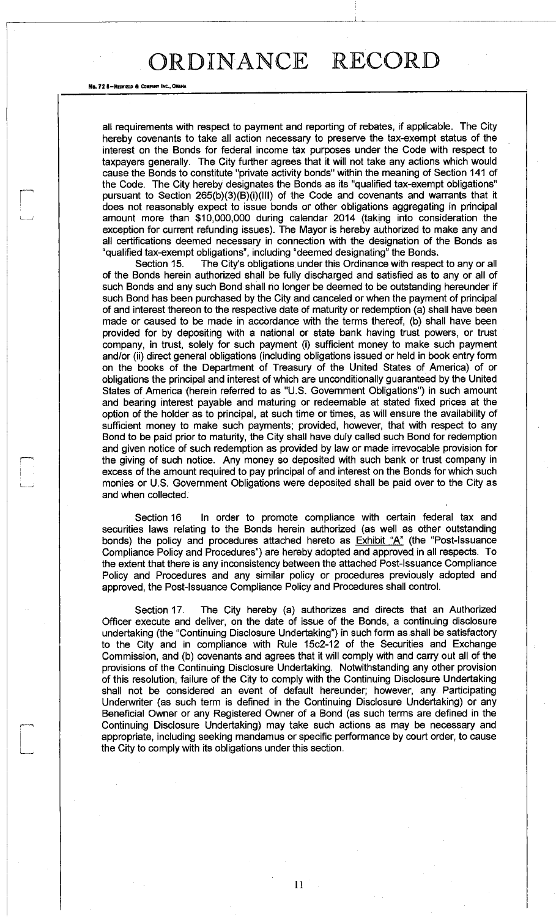No. 72 8-REDFIELD & COMPANY INC., OM

all requirements with respect to payment and reporting of rebates, if applicable. The City hereby covenants to take all action necessary to preserve the tax-exempt status of the interest on the Bonds for federal income tax purposes under the Code with respect to taxpayers generally. The City further agrees that it will not take any actions which would cause the Bonds to constitute "private activity bonds" within the meaning of Section 141 of the Code. The City hereby designates the Bonds as its "qualified tax-exempt obligations" pursuant to Section 265(b)(3)(B)(i)(lll) of the Code and covenants and warrants that it does not reasonably expect to issue bonds or other obligations aggregating in principal amount more than \$10,000,000 during calendar 2014 (taking into consideration the exception for current refunding issues). The Mayor is hereby authorized to make any and all certifications deemed necessary in connection with the designation of the Bonds as "qualified tax-exempt obligations", including "deemed designating" the Bonds.

Section 15. The City's obligations under this Ordinance with respect to any or all of the Bonds herein authorized shall be fully discharged and satisfied as to any or all of such Bonds and any such Bond shall no longer be deemed to be outstanding hereunder if such Bond has been purchased by the City and canceled or when the payment of principal of and interest thereon to the respective date of maturity or redemption (a) shall have been made or caused to be made in accordance with the terms thereof, (b) shall have been provided for by depositing with a national or state bank having trust powers, or trust company, in trust, solely for such payment (i) sufficient money to make such payment and/or (ii) direct general obligations (including obligations issued or held in book entry form on the books of the Department of Treasury of the United States of America) of or obligations the principal and interest of which are unconditionally guaranteed by the United States of America (herein referred to as "U.S. Government Obligations") in such amount and bearing interest payable and maturing or redeemable at stated fixed prices at the option of the holder as to principal, at such time or times, as will ensure the availability of sufficient money to make such payments; provided, however, that with respect to any Bond to be paid prior to maturity, the City shall have duly called such Bond for redemption and given notice of such redemption as provided by law or made irrevocable provision for the giving of such notice. Any money so deposited with such bank or trust company in excess of the amount required to pay principal of and interest on the Bonds for which such monies or U.S. Government Obligations were deposited shall be paid over to the City as and when collected.

Section 16 In order to promote compliance with certain federal tax and securities laws relating to the Bonds herein authorized (as well as other outstanding bonds) the policy and procedures attached hereto as **Exhibit "A"** (the "Post-Issuance Compliance Policy and Procedures") are hereby adopted and approved in all respects. To the extent that there is any inconsistency between the attached Post-Issuance Compliance Policy and Procedures and any similar policy or procedures previously adopted and approved, the Post-Issuance Compliance Policy and Procedures shall control.

Section 17. The City hereby (a) authorizes and directs that an Authorized Officer execute and deliver, on the date of issue of the Bonds, a continuing disclosure undertaking (the "Continuing Disclosure Undertaking") in such form as shall be satisfactory to the City and in compliance with Rule 15c2-12 of the Securities and Exchange Commission, and (b) covenants and agrees that it will comply with and carry out all of the provisions of the Continuing Disclosure Undertaking. Notwithstanding any other provision of this resolution, failure of the City to comply with the Continuing Disclosure Undertaking shall not be considered an event of default hereunder; however, any. Participating Underwriter (as such term is defined in the Continuing Disclosure Undertaking) or any Beneficial Owner or any Registered Owner of a Bond (as such terms are defined in the Continuing Disclosure Undertaking) may take such actions as may be necessary and appropriate, including seeking mandamus or specific performance by court order, to cause the City to comply with its obligations under this section.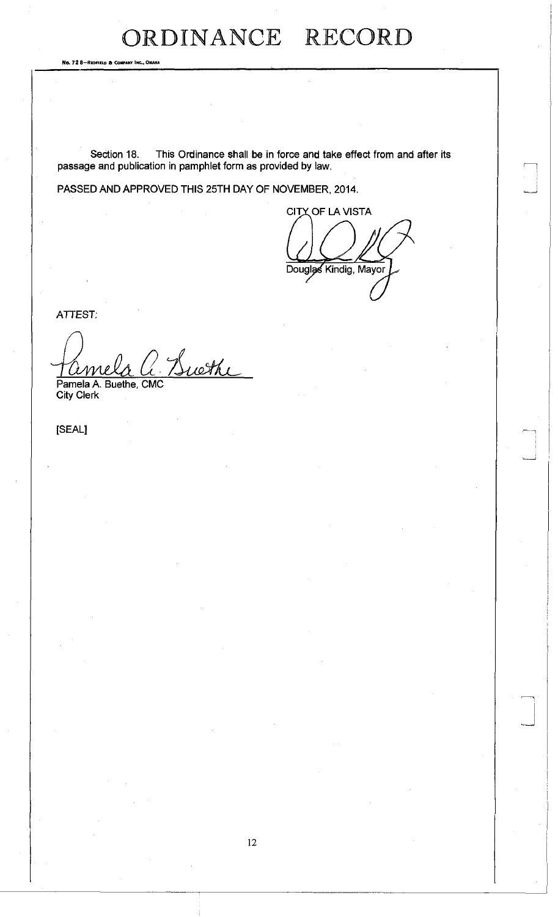No. 72 8-REDFIELD & COMPANY INC., OMAHA

Section 18. This Ordinance shall be in force and take effect from and after its passage and publication in pamphlet form as provided by law.

PASSED AND APPROVED THIS 25TH DAY OF NOVEMBER, 2014.

**CITY OF LA VISTA** Douglas Kindig, Mayor

ATTEST:

Buethe me

Pamela A. Buethe, CMC<br>City Clerk

[SEAL]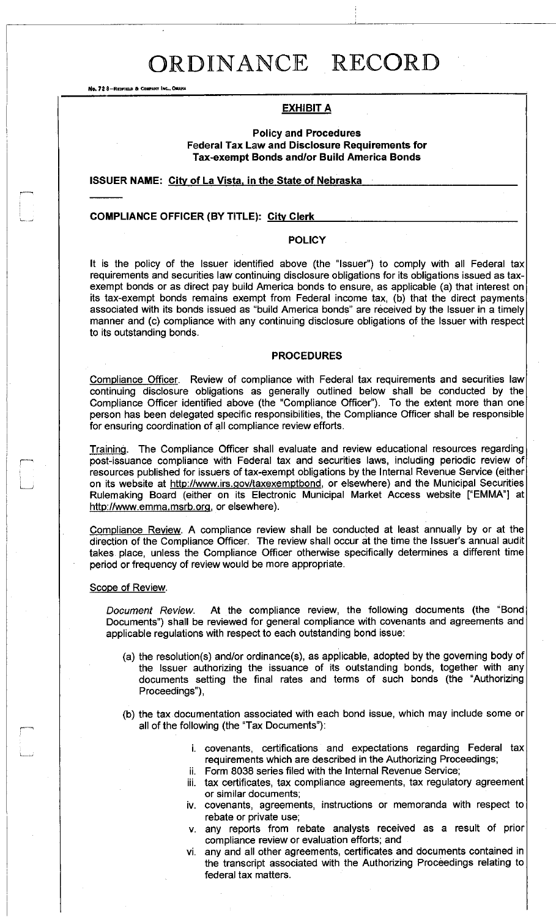No. 72 8-REDFIELD & COMPANY INC., OMAHA

### **EXHIBIT A**

**Policy and Procedures Federal Tax Law and Disclosure Requirements for Tax-exempt Bonds and/or Build America Bonds** 

### **ISSUER NAME: City of La Vista, in the State of Nebraska**

#### **COMPLIANCE OFFICER (BY TITLE): Citv Clerk**

#### **POLICY**

It is the policy of the Issuer identified above (the "Issuer") to comply with all Federal tax requirements and securities law continuing disclosure obligations for its obligations issued as taxexempt bonds or as direct pay build America bonds to ensure, as applicable (a) that interest on its tax-exempt bonds remains exempt from Federal income tax, (b) that the direct payments associated with its bonds issued as "build America bonds" are received by the Issuer in a timely manner and (c) compliance with any continuing disclosure obligations of the Issuer with respect to its outstanding bonds.

### **PROCEDURES**

Compliance Officer. Review of compliance with Federal tax requirements and securities law continuing disclosure obligations as generally outlined below shall be conducted by the Compliance Officer identified above (the "Compliance Officer"). To the extent more than one person has been delegated specific responsibilities, the Compliance Officer shall be responsible for ensuring coordination of all compliance review efforts.

Training. The Compliance Officer shall evaluate and review educational resources regarding post-issuance compliance with Federal tax and securities laws, including periodic review of resources published for issuers of tax-exempt obligations by the Internal Revenue Service (either on its website at http://www.irs.gov/taxexemptbond, or elsewhere) and the Municipal Securities Rulemaking Board (either on its Electronic Municipal Market Access website ["EMMA"] at http://www.emma.msrb.org, or elsewhere).

Compliance Review. A compliance review shall be conducted at least annually by or at the direction of the Compliance Officer. The review shall occur at the time the Issuer's annual audit takes place, unless the Compliance Officer otherwise specifically determines a different time period or frequency of review would be more appropriate.

#### Scope of Review.

*Document Review.* At the compliance review, the following documents (the "Bond Documents") shall be reviewed for general compliance with covenants and agreements and applicable regulations with respect to each outstanding bond issue:

- (a) the resolution(s) and/or ordinance(s), as applicable, adopted by the governing body of the Issuer authorizing the issuance of its outstanding bonds, together with any documents setting the final rates and terms of such bonds (the "Authorizing Proceedings"),
- (b) the tax documentation associated with each bond issue, which may include some or all of the following (the "Tax Documents"):
	- i. covenants, certifications and expectations regarding Federal tax requirements which are described in the Authorizing Proceedings;
	- ii. Form 8038 series filed with the Internal Revenue Service;
	- iii. tax certificates, tax compliance agreements, tax regulatory agreement or similar documents;
	- iv. covenants, agreements, instructions or memoranda with respect to rebate or private use;
	- v. any reports from rebate analysts received as a result of prior compliance review or evaluation efforts; and
	- vi. any and all other agreements, certificates and documents contained in the transcript associated with the Authorizing Proceedings relating to federal tax matters.